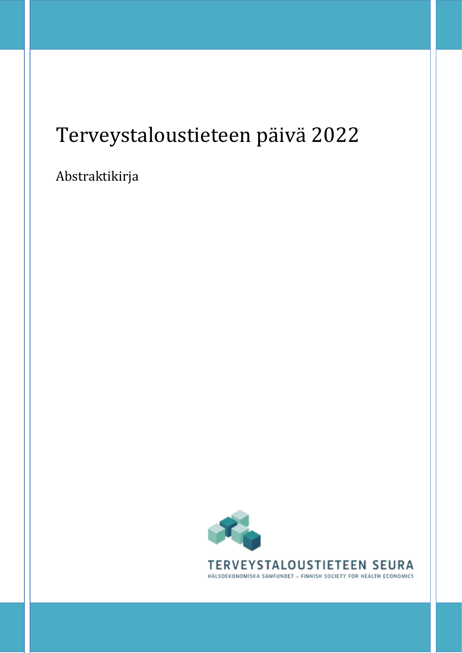# Terveystaloustieteen päivä 2022

Abstraktikirja

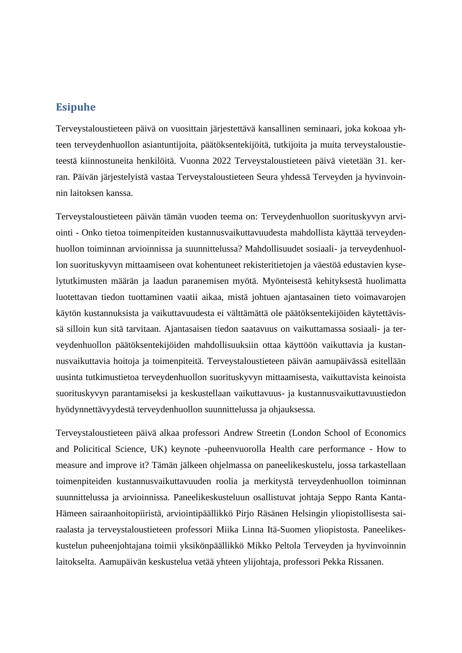### **Esipuhe**

Terveystaloustieteen päivä on vuosittain järjestettävä kansallinen seminaari, joka kokoaa yhteen terveydenhuollon asiantuntijoita, päätöksentekijöitä, tutkijoita ja muita terveystaloustieteestä kiinnostuneita henkilöitä. Vuonna 2022 Terveystaloustieteen päivä vietetään 31. kerran. Päivän järjestelyistä vastaa Terveystaloustieteen Seura yhdessä Terveyden ja hyvinvoinnin laitoksen kanssa.

Terveystaloustieteen päivän tämän vuoden teema on: Terveydenhuollon suorituskyvyn arviointi - Onko tietoa toimenpiteiden kustannusvaikuttavuudesta mahdollista käyttää terveydenhuollon toiminnan arvioinnissa ja suunnittelussa? Mahdollisuudet sosiaali- ja terveydenhuollon suorituskyvyn mittaamiseen ovat kohentuneet rekisteritietojen ja väestöä edustavien kyselytutkimusten määrän ja laadun paranemisen myötä. Myönteisestä kehityksestä huolimatta luotettavan tiedon tuottaminen vaatii aikaa, mistä johtuen ajantasainen tieto voimavarojen käytön kustannuksista ja vaikuttavuudesta ei välttämättä ole päätöksentekijöiden käytettävissä silloin kun sitä tarvitaan. Ajantasaisen tiedon saatavuus on vaikuttamassa sosiaali- ja terveydenhuollon päätöksentekijöiden mahdollisuuksiin ottaa käyttöön vaikuttavia ja kustannusvaikuttavia hoitoja ja toimenpiteitä. Terveystaloustieteen päivän aamupäivässä esitellään uusinta tutkimustietoa terveydenhuollon suorituskyvyn mittaamisesta, vaikuttavista keinoista suorituskyvyn parantamiseksi ja keskustellaan vaikuttavuus- ja kustannusvaikuttavuustiedon hyödynnettävyydestä terveydenhuollon suunnittelussa ja ohjauksessa.

Terveystaloustieteen päivä alkaa professori Andrew Streetin (London School of Economics and Policitical Science, UK) keynote -puheenvuorolla Health care performance - How to measure and improve it? Tämän jälkeen ohjelmassa on paneelikeskustelu, jossa tarkastellaan toimenpiteiden kustannusvaikuttavuuden roolia ja merkitystä terveydenhuollon toiminnan suunnittelussa ja arvioinnissa. Paneelikeskusteluun osallistuvat johtaja Seppo Ranta Kanta-Hämeen sairaanhoitopiiristä, arviointipäällikkö Pirjo Räsänen Helsingin yliopistollisesta sairaalasta ja terveystaloustieteen professori Miika Linna Itä-Suomen yliopistosta. Paneelikeskustelun puheenjohtajana toimii yksikönpäällikkö Mikko Peltola Terveyden ja hyvinvoinnin laitokselta. Aamupäivän keskustelua vetää yhteen ylijohtaja, professori Pekka Rissanen.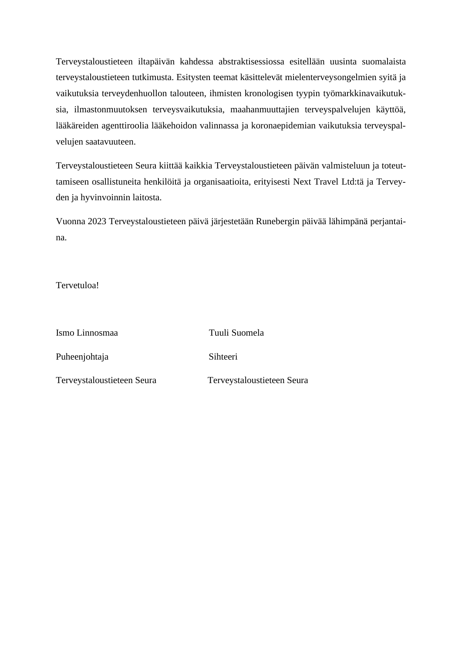Terveystaloustieteen iltapäivän kahdessa abstraktisessiossa esitellään uusinta suomalaista terveystaloustieteen tutkimusta. Esitysten teemat käsittelevät mielenterveysongelmien syitä ja vaikutuksia terveydenhuollon talouteen, ihmisten kronologisen tyypin työmarkkinavaikutuksia, ilmastonmuutoksen terveysvaikutuksia, maahanmuuttajien terveyspalvelujen käyttöä, lääkäreiden agenttiroolia lääkehoidon valinnassa ja koronaepidemian vaikutuksia terveyspalvelujen saatavuuteen.

Terveystaloustieteen Seura kiittää kaikkia Terveystaloustieteen päivän valmisteluun ja toteuttamiseen osallistuneita henkilöitä ja organisaatioita, erityisesti Next Travel Ltd:tä ja Terveyden ja hyvinvoinnin laitosta.

Vuonna 2023 Terveystaloustieteen päivä järjestetään Runebergin päivää lähimpänä perjantaina.

Tervetuloa!

| Ismo Linnosmaa             | Tuuli Suomela              |
|----------------------------|----------------------------|
| Puheenjohtaja              | Sihteeri                   |
| Terveystaloustieteen Seura | Terveystaloustieteen Seura |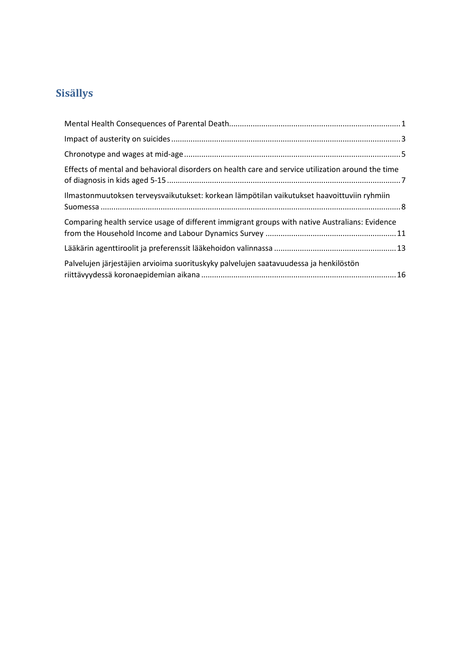## **Sisällys**

| Effects of mental and behavioral disorders on health care and service utilization around the time |
|---------------------------------------------------------------------------------------------------|
| Ilmastonmuutoksen terveysvaikutukset: korkean lämpötilan vaikutukset haavoittuviin ryhmiin        |
| Comparing health service usage of different immigrant groups with native Australians: Evidence    |
|                                                                                                   |
| Palvelujen järjestäjien arvioima suorituskyky palvelujen saatavuudessa ja henkilöstön             |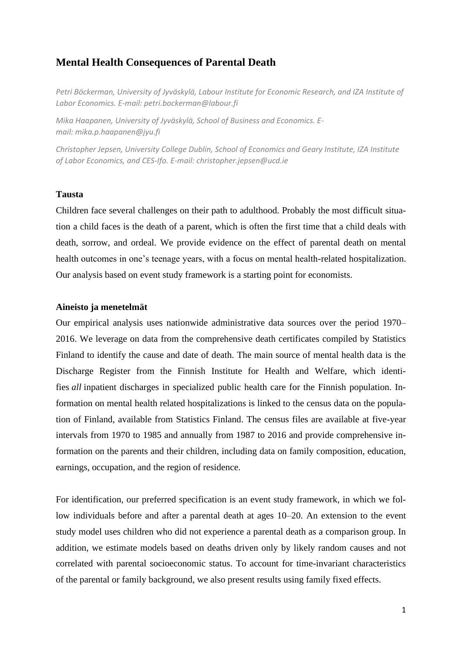### <span id="page-4-0"></span>**Mental Health Consequences of Parental Death**

*Petri Böckerman, University of Jyväskylä, Labour Institute for Economic Research, and IZA Institute of Labor Economics. E-mail: [petri.bockerman@labour.fi](mailto:petri.bockerman@labour.fi)*

*Mika Haapanen, University of Jyväskylä, School of Business and Economics. Email: [mika.p.haapanen@jyu.fi](mailto:mika.p.haapanen@jyu.fi)*

*Christopher Jepsen, University College Dublin, School of Economics and Geary Institute, IZA Institute of Labor Economics, and CES-Ifo. E-mail: [christopher.jepsen@ucd.ie](mailto:christopher.jepsen@ucd.ie)*

### **Tausta**

Children face several challenges on their path to adulthood. Probably the most difficult situation a child faces is the death of a parent, which is often the first time that a child deals with death, sorrow, and ordeal. We provide evidence on the effect of parental death on mental health outcomes in one's teenage years, with a focus on mental health-related hospitalization. Our analysis based on event study framework is a starting point for economists.

#### **Aineisto ja menetelmät**

Our empirical analysis uses nationwide administrative data sources over the period 1970– 2016. We leverage on data from the comprehensive death certificates compiled by Statistics Finland to identify the cause and date of death. The main source of mental health data is the Discharge Register from the Finnish Institute for Health and Welfare, which identifies *all* inpatient discharges in specialized public health care for the Finnish population. Information on mental health related hospitalizations is linked to the census data on the population of Finland, available from Statistics Finland. The census files are available at five-year intervals from 1970 to 1985 and annually from 1987 to 2016 and provide comprehensive information on the parents and their children, including data on family composition, education, earnings, occupation, and the region of residence.

For identification, our preferred specification is an event study framework, in which we follow individuals before and after a parental death at ages 10–20. An extension to the event study model uses children who did not experience a parental death as a comparison group. In addition, we estimate models based on deaths driven only by likely random causes and not correlated with parental socioeconomic status. To account for time-invariant characteristics of the parental or family background, we also present results using family fixed effects.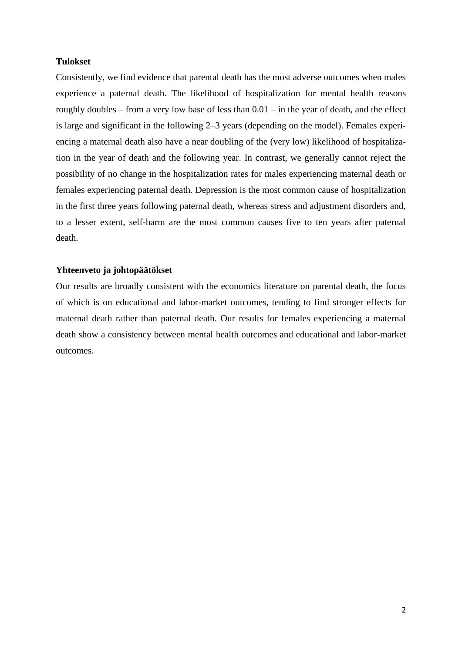### **Tulokset**

Consistently, we find evidence that parental death has the most adverse outcomes when males experience a paternal death. The likelihood of hospitalization for mental health reasons roughly doubles – from a very low base of less than 0.01 – in the year of death, and the effect is large and significant in the following 2–3 years (depending on the model). Females experiencing a maternal death also have a near doubling of the (very low) likelihood of hospitalization in the year of death and the following year. In contrast, we generally cannot reject the possibility of no change in the hospitalization rates for males experiencing maternal death or females experiencing paternal death. Depression is the most common cause of hospitalization in the first three years following paternal death, whereas stress and adjustment disorders and, to a lesser extent, self-harm are the most common causes five to ten years after paternal death.

### **Yhteenveto ja johtopäätökset**

Our results are broadly consistent with the economics literature on parental death, the focus of which is on educational and labor-market outcomes, tending to find stronger effects for maternal death rather than paternal death. Our results for females experiencing a maternal death show a consistency between mental health outcomes and educational and labor-market outcomes.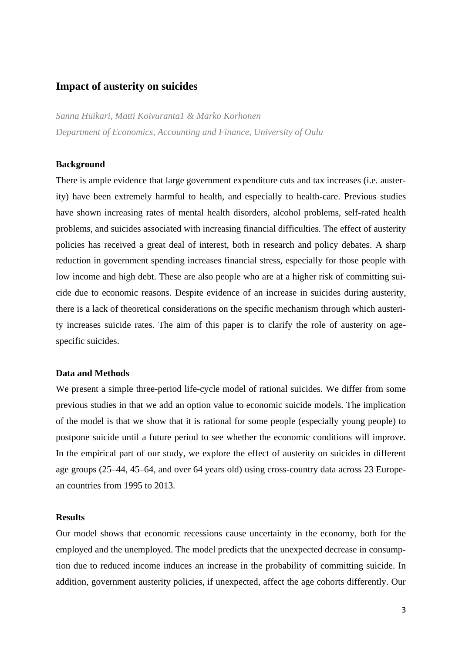### <span id="page-6-0"></span>**Impact of austerity on suicides**

*Sanna Huikari, Matti Koivuranta1 & Marko Korhonen Department of Economics, Accounting and Finance, University of Oulu*

### **Background**

There is ample evidence that large government expenditure cuts and tax increases (i.e. austerity) have been extremely harmful to health, and especially to health-care. Previous studies have shown increasing rates of mental health disorders, alcohol problems, self-rated health problems, and suicides associated with increasing financial difficulties. The effect of austerity policies has received a great deal of interest, both in research and policy debates. A sharp reduction in government spending increases financial stress, especially for those people with low income and high debt. These are also people who are at a higher risk of committing suicide due to economic reasons. Despite evidence of an increase in suicides during austerity, there is a lack of theoretical considerations on the specific mechanism through which austerity increases suicide rates. The aim of this paper is to clarify the role of austerity on agespecific suicides.

### **Data and Methods**

We present a simple three-period life-cycle model of rational suicides. We differ from some previous studies in that we add an option value to economic suicide models. The implication of the model is that we show that it is rational for some people (especially young people) to postpone suicide until a future period to see whether the economic conditions will improve. In the empirical part of our study, we explore the effect of austerity on suicides in different age groups (25–44, 45–64, and over 64 years old) using cross-country data across 23 European countries from 1995 to 2013.

### **Results**

Our model shows that economic recessions cause uncertainty in the economy, both for the employed and the unemployed. The model predicts that the unexpected decrease in consumption due to reduced income induces an increase in the probability of committing suicide. In addition, government austerity policies, if unexpected, affect the age cohorts differently. Our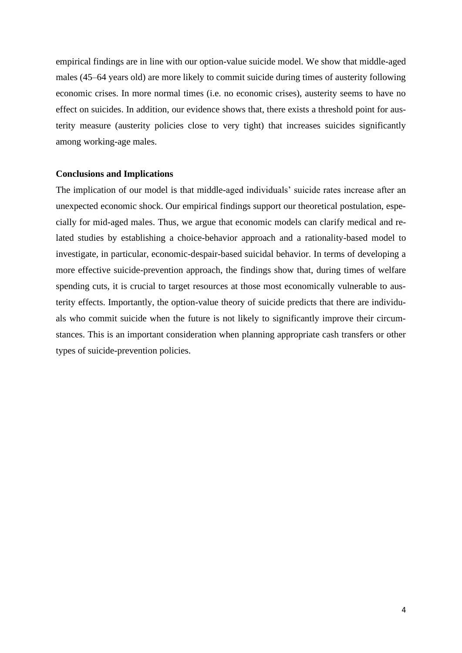empirical findings are in line with our option-value suicide model. We show that middle-aged males (45–64 years old) are more likely to commit suicide during times of austerity following economic crises. In more normal times (i.e. no economic crises), austerity seems to have no effect on suicides. In addition, our evidence shows that, there exists a threshold point for austerity measure (austerity policies close to very tight) that increases suicides significantly among working-age males.

#### **Conclusions and Implications**

The implication of our model is that middle-aged individuals' suicide rates increase after an unexpected economic shock. Our empirical findings support our theoretical postulation, especially for mid-aged males. Thus, we argue that economic models can clarify medical and related studies by establishing a choice-behavior approach and a rationality-based model to investigate, in particular, economic-despair-based suicidal behavior. In terms of developing a more effective suicide-prevention approach, the findings show that, during times of welfare spending cuts, it is crucial to target resources at those most economically vulnerable to austerity effects. Importantly, the option-value theory of suicide predicts that there are individuals who commit suicide when the future is not likely to significantly improve their circumstances. This is an important consideration when planning appropriate cash transfers or other types of suicide-prevention policies.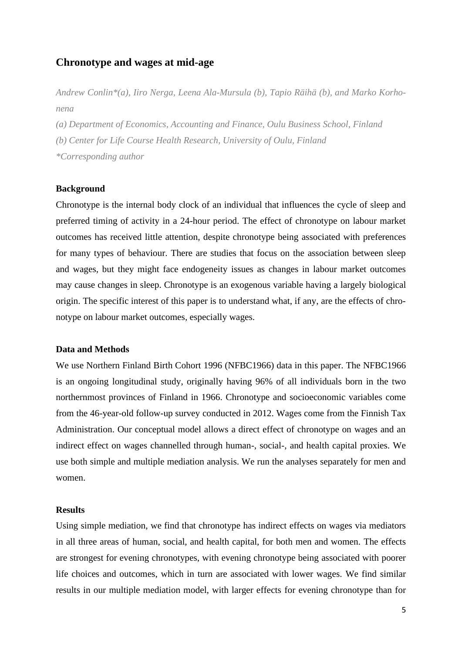### <span id="page-8-0"></span>**Chronotype and wages at mid-age**

*Andrew Conlin\*(a), Iiro Nerga, Leena Ala-Mursula (b), Tapio Räihä (b), and Marko Korhonena*

*(a) Department of Economics, Accounting and Finance, Oulu Business School, Finland (b) Center for Life Course Health Research, University of Oulu, Finland \*Corresponding author*

#### **Background**

Chronotype is the internal body clock of an individual that influences the cycle of sleep and preferred timing of activity in a 24-hour period. The effect of chronotype on labour market outcomes has received little attention, despite chronotype being associated with preferences for many types of behaviour. There are studies that focus on the association between sleep and wages, but they might face endogeneity issues as changes in labour market outcomes may cause changes in sleep. Chronotype is an exogenous variable having a largely biological origin. The specific interest of this paper is to understand what, if any, are the effects of chronotype on labour market outcomes, especially wages.

### **Data and Methods**

We use Northern Finland Birth Cohort 1996 (NFBC1966) data in this paper. The NFBC1966 is an ongoing longitudinal study, originally having 96% of all individuals born in the two northernmost provinces of Finland in 1966. Chronotype and socioeconomic variables come from the 46-year-old follow-up survey conducted in 2012. Wages come from the Finnish Tax Administration. Our conceptual model allows a direct effect of chronotype on wages and an indirect effect on wages channelled through human-, social-, and health capital proxies. We use both simple and multiple mediation analysis. We run the analyses separately for men and women.

#### **Results**

Using simple mediation, we find that chronotype has indirect effects on wages via mediators in all three areas of human, social, and health capital, for both men and women. The effects are strongest for evening chronotypes, with evening chronotype being associated with poorer life choices and outcomes, which in turn are associated with lower wages. We find similar results in our multiple mediation model, with larger effects for evening chronotype than for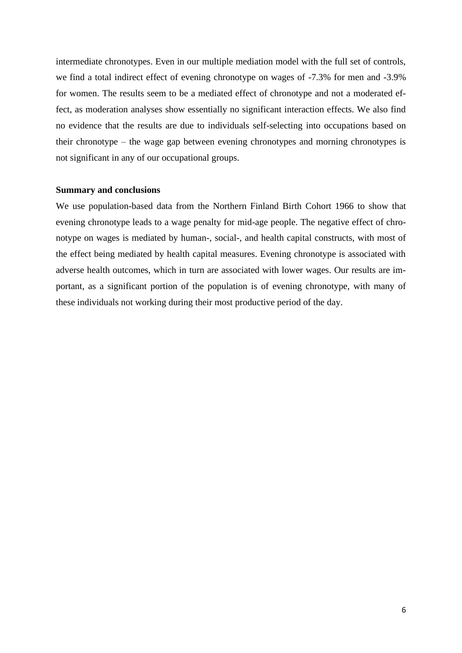intermediate chronotypes. Even in our multiple mediation model with the full set of controls, we find a total indirect effect of evening chronotype on wages of -7.3% for men and -3.9% for women. The results seem to be a mediated effect of chronotype and not a moderated effect, as moderation analyses show essentially no significant interaction effects. We also find no evidence that the results are due to individuals self-selecting into occupations based on their chronotype – the wage gap between evening chronotypes and morning chronotypes is not significant in any of our occupational groups.

### **Summary and conclusions**

We use population-based data from the Northern Finland Birth Cohort 1966 to show that evening chronotype leads to a wage penalty for mid-age people. The negative effect of chronotype on wages is mediated by human-, social-, and health capital constructs, with most of the effect being mediated by health capital measures. Evening chronotype is associated with adverse health outcomes, which in turn are associated with lower wages. Our results are important, as a significant portion of the population is of evening chronotype, with many of these individuals not working during their most productive period of the day.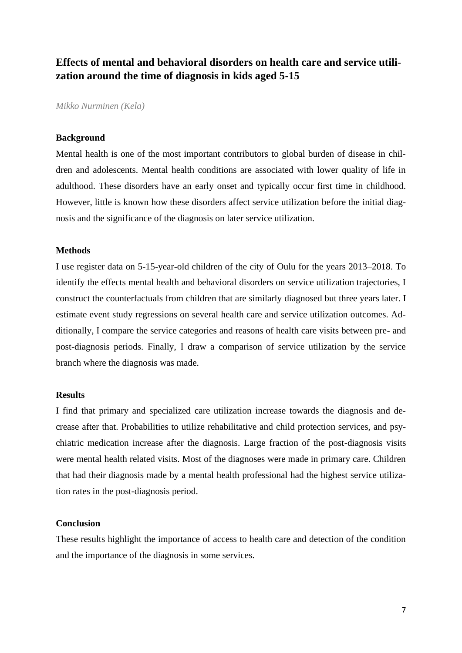### <span id="page-10-0"></span>**Effects of mental and behavioral disorders on health care and service utilization around the time of diagnosis in kids aged 5-15**

*Mikko Nurminen (Kela)*

#### **Background**

Mental health is one of the most important contributors to global burden of disease in children and adolescents. Mental health conditions are associated with lower quality of life in adulthood. These disorders have an early onset and typically occur first time in childhood. However, little is known how these disorders affect service utilization before the initial diagnosis and the significance of the diagnosis on later service utilization.

### **Methods**

I use register data on 5-15-year-old children of the city of Oulu for the years 2013–2018. To identify the effects mental health and behavioral disorders on service utilization trajectories, I construct the counterfactuals from children that are similarly diagnosed but three years later. I estimate event study regressions on several health care and service utilization outcomes. Additionally, I compare the service categories and reasons of health care visits between pre- and post-diagnosis periods. Finally, I draw a comparison of service utilization by the service branch where the diagnosis was made.

### **Results**

I find that primary and specialized care utilization increase towards the diagnosis and decrease after that. Probabilities to utilize rehabilitative and child protection services, and psychiatric medication increase after the diagnosis. Large fraction of the post-diagnosis visits were mental health related visits. Most of the diagnoses were made in primary care. Children that had their diagnosis made by a mental health professional had the highest service utilization rates in the post-diagnosis period.

### **Conclusion**

These results highlight the importance of access to health care and detection of the condition and the importance of the diagnosis in some services.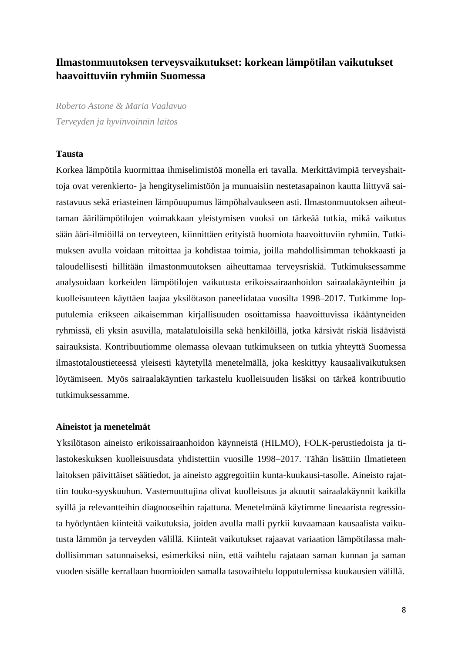### <span id="page-11-0"></span>**Ilmastonmuutoksen terveysvaikutukset: korkean lämpötilan vaikutukset haavoittuviin ryhmiin Suomessa**

*Roberto Astone & Maria Vaalavuo Terveyden ja hyvinvoinnin laitos*

### **Tausta**

Korkea lämpötila kuormittaa ihmiselimistöä monella eri tavalla. Merkittävimpiä terveyshaittoja ovat verenkierto- ja hengityselimistöön ja munuaisiin nestetasapainon kautta liittyvä sairastavuus sekä eriasteinen lämpöuupumus lämpöhalvaukseen asti. Ilmastonmuutoksen aiheuttaman äärilämpötilojen voimakkaan yleistymisen vuoksi on tärkeää tutkia, mikä vaikutus sään ääri-ilmiöillä on terveyteen, kiinnittäen erityistä huomiota haavoittuviin ryhmiin. Tutkimuksen avulla voidaan mitoittaa ja kohdistaa toimia, joilla mahdollisimman tehokkaasti ja taloudellisesti hillitään ilmastonmuutoksen aiheuttamaa terveysriskiä. Tutkimuksessamme analysoidaan korkeiden lämpötilojen vaikutusta erikoissairaanhoidon sairaalakäynteihin ja kuolleisuuteen käyttäen laajaa yksilötason paneelidataa vuosilta 1998–2017. Tutkimme lopputulemia erikseen aikaisemman kirjallisuuden osoittamissa haavoittuvissa ikääntyneiden ryhmissä, eli yksin asuvilla, matalatuloisilla sekä henkilöillä, jotka kärsivät riskiä lisäävistä sairauksista. Kontribuutiomme olemassa olevaan tutkimukseen on tutkia yhteyttä Suomessa ilmastotaloustieteessä yleisesti käytetyllä menetelmällä, joka keskittyy kausaalivaikutuksen löytämiseen. Myös sairaalakäyntien tarkastelu kuolleisuuden lisäksi on tärkeä kontribuutio tutkimuksessamme.

#### **Aineistot ja menetelmät**

Yksilötason aineisto erikoissairaanhoidon käynneistä (HILMO), FOLK-perustiedoista ja tilastokeskuksen kuolleisuusdata yhdistettiin vuosille 1998–2017. Tähän lisättiin Ilmatieteen laitoksen päivittäiset säätiedot, ja aineisto aggregoitiin kunta-kuukausi-tasolle. Aineisto rajattiin touko-syyskuuhun. Vastemuuttujina olivat kuolleisuus ja akuutit sairaalakäynnit kaikilla syillä ja relevantteihin diagnooseihin rajattuna. Menetelmänä käytimme lineaarista regressiota hyödyntäen kiinteitä vaikutuksia, joiden avulla malli pyrkii kuvaamaan kausaalista vaikutusta lämmön ja terveyden välillä. Kiinteät vaikutukset rajaavat variaation lämpötilassa mahdollisimman satunnaiseksi, esimerkiksi niin, että vaihtelu rajataan saman kunnan ja saman vuoden sisälle kerrallaan huomioiden samalla tasovaihtelu lopputulemissa kuukausien välillä.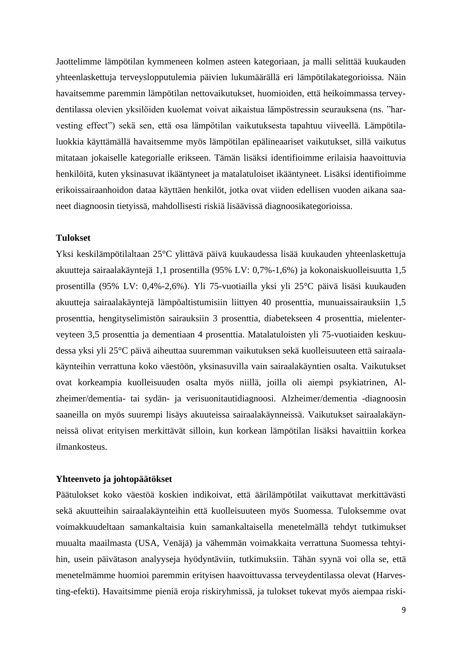Jaottelimme lämpötilan kymmeneen kolmen asteen kategoriaan, ja malli selittää kuukauden yhteenlaskettuja terveyslopputulemia päivien lukumäärällä eri lämpötilakategorioissa. Näin havaitsemme paremmin lämpötilan nettovaikutukset, huomioiden, että heikoimmassa terveydentilassa olevien yksilöiden kuolemat voivat aikaistua lämpöstressin seurauksena (ns. "harvesting effect") sekä sen, että osa lämpötilan vaikutuksesta tapahtuu viiveellä. Lämpötilaluokkia käyttämällä havaitsemme myös lämpötilan epälineaariset vaikutukset, sillä vaikutus mitataan jokaiselle kategorialle erikseen. Tämän lisäksi identifioimme erilaisia haavoittuvia henkilöitä, kuten yksinasuvat ikääntyneet ja matalatuloiset ikääntyneet. Lisäksi identifioimme erikoissairaanhoidon dataa käyttäen henkilöt, jotka ovat viiden edellisen vuoden aikana saaneet diagnoosin tietyissä, mahdollisesti riskiä lisäävissä diagnoosikategorioissa.

### **Tulokset**

Yksi keskilämpötilaltaan 25°C ylittävä päivä kuukaudessa lisää kuukauden yhteenlaskettuja akuutteja sairaalakäyntejä 1,1 prosentilla (95% LV: 0,7%-1,6%) ja kokonaiskuolleisuutta 1,5 prosentilla (95% LV: 0,4%-2,6%). Yli 75-vuotiailla yksi yli 25°C päivä lisäsi kuukauden akuutteja sairaalakäyntejä lämpöaltistumisiin liittyen 40 prosenttia, munuaissairauksiin 1,5 prosenttia, hengityselimistön sairauksiin 3 prosenttia, diabetekseen 4 prosenttia, mielenterveyteen 3,5 prosenttia ja dementiaan 4 prosenttia. Matalatuloisten yli 75-vuotiaiden keskuudessa yksi yli 25°C päivä aiheuttaa suuremman vaikutuksen sekä kuolleisuuteen että sairaalakäynteihin verrattuna koko väestöön, yksinasuvilla vain sairaalakäyntien osalta. Vaikutukset ovat korkeampia kuolleisuuden osalta myös niillä, joilla oli aiempi psykiatrinen, Alzheimer/dementia- tai sydän- ja verisuonitautidiagnoosi. Alzheimer/dementia -diagnoosin saaneilla on myös suurempi lisäys akuuteissa sairaalakäynneissä. Vaikutukset sairaalakäynneissä olivat erityisen merkittävät silloin, kun korkean lämpötilan lisäksi havaittiin korkea ilmankosteus.

### **Yhteenveto ja johtopäätökset**

Päätulokset koko väestöä koskien indikoivat, että äärilämpötilat vaikuttavat merkittävästi sekä akuutteihin sairaalakäynteihin että kuolleisuuteen myös Suomessa. Tuloksemme ovat voimakkuudeltaan samankaltaisia kuin samankaltaisella menetelmällä tehdyt tutkimukset muualta maailmasta (USA, Venäjä) ja vähemmän voimakkaita verrattuna Suomessa tehtyihin, usein päivätason analyyseja hyödyntäviin, tutkimuksiin. Tähän syynä voi olla se, että menetelmämme huomioi paremmin erityisen haavoittuvassa terveydentilassa olevat (Harvesting-efekti). Havaitsimme pieniä eroja riskiryhmissä, ja tulokset tukevat myös aiempaa riski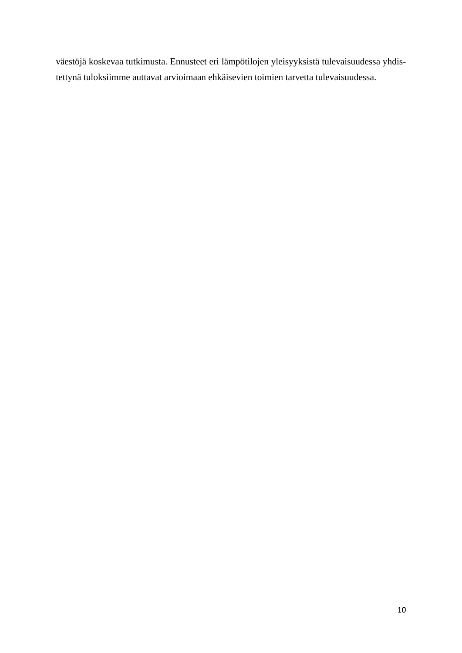väestöjä koskevaa tutkimusta. Ennusteet eri lämpötilojen yleisyyksistä tulevaisuudessa yhdistettynä tuloksiimme auttavat arvioimaan ehkäisevien toimien tarvetta tulevaisuudessa.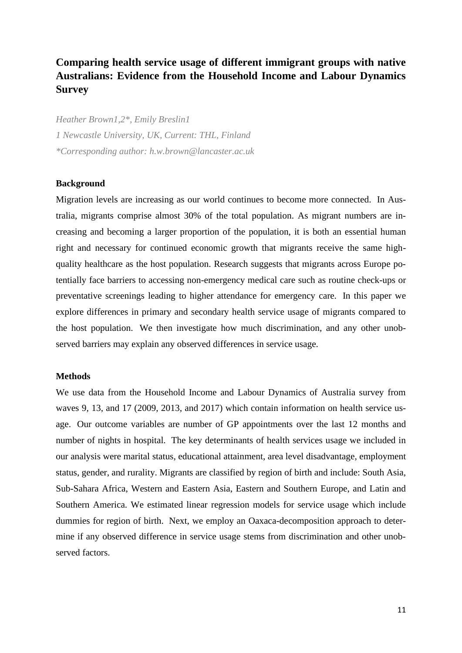### <span id="page-14-0"></span>**Comparing health service usage of different immigrant groups with native Australians: Evidence from the Household Income and Labour Dynamics Survey**

*Heather Brown1,2\*, Emily Breslin1 1 Newcastle University, UK, Current: THL, Finland \*Corresponding author: h.w.brown@lancaster.ac.uk*

### **Background**

Migration levels are increasing as our world continues to become more connected. In Australia, migrants comprise almost 30% of the total population. As migrant numbers are increasing and becoming a larger proportion of the population, it is both an essential human right and necessary for continued economic growth that migrants receive the same highquality healthcare as the host population. Research suggests that migrants across Europe potentially face barriers to accessing non-emergency medical care such as routine check-ups or preventative screenings leading to higher attendance for emergency care. In this paper we explore differences in primary and secondary health service usage of migrants compared to the host population. We then investigate how much discrimination, and any other unobserved barriers may explain any observed differences in service usage.

### **Methods**

We use data from the Household Income and Labour Dynamics of Australia survey from waves 9, 13, and 17 (2009, 2013, and 2017) which contain information on health service usage. Our outcome variables are number of GP appointments over the last 12 months and number of nights in hospital. The key determinants of health services usage we included in our analysis were marital status, educational attainment, area level disadvantage, employment status, gender, and rurality. Migrants are classified by region of birth and include: South Asia, Sub-Sahara Africa, Western and Eastern Asia, Eastern and Southern Europe, and Latin and Southern America. We estimated linear regression models for service usage which include dummies for region of birth. Next, we employ an Oaxaca-decomposition approach to determine if any observed difference in service usage stems from discrimination and other unobserved factors.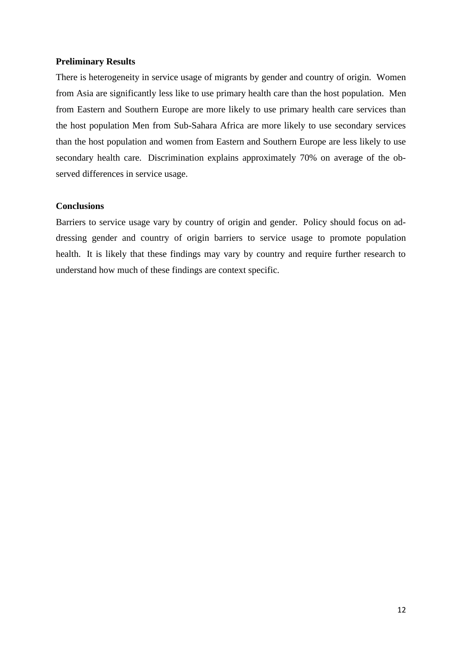### **Preliminary Results**

There is heterogeneity in service usage of migrants by gender and country of origin. Women from Asia are significantly less like to use primary health care than the host population. Men from Eastern and Southern Europe are more likely to use primary health care services than the host population Men from Sub-Sahara Africa are more likely to use secondary services than the host population and women from Eastern and Southern Europe are less likely to use secondary health care. Discrimination explains approximately 70% on average of the observed differences in service usage.

### **Conclusions**

Barriers to service usage vary by country of origin and gender. Policy should focus on addressing gender and country of origin barriers to service usage to promote population health. It is likely that these findings may vary by country and require further research to understand how much of these findings are context specific.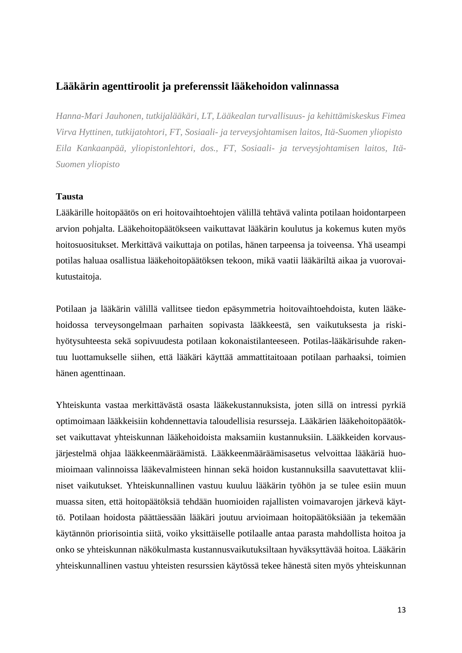### <span id="page-16-0"></span>**Lääkärin agenttiroolit ja preferenssit lääkehoidon valinnassa**

*Hanna-Mari Jauhonen, tutkijalääkäri, LT, Lääkealan turvallisuus- ja kehittämiskeskus Fimea Virva Hyttinen, tutkijatohtori, FT, Sosiaali- ja terveysjohtamisen laitos, Itä-Suomen yliopisto Eila Kankaanpää, yliopistonlehtori, dos., FT, Sosiaali- ja terveysjohtamisen laitos, Itä-Suomen yliopisto*

### **Tausta**

Lääkärille hoitopäätös on eri hoitovaihtoehtojen välillä tehtävä valinta potilaan hoidontarpeen arvion pohjalta. Lääkehoitopäätökseen vaikuttavat lääkärin koulutus ja kokemus kuten myös hoitosuositukset. Merkittävä vaikuttaja on potilas, hänen tarpeensa ja toiveensa. Yhä useampi potilas haluaa osallistua lääkehoitopäätöksen tekoon, mikä vaatii lääkäriltä aikaa ja vuorovaikutustaitoja.

Potilaan ja lääkärin välillä vallitsee tiedon epäsymmetria hoitovaihtoehdoista, kuten lääkehoidossa terveysongelmaan parhaiten sopivasta lääkkeestä, sen vaikutuksesta ja riskihyötysuhteesta sekä sopivuudesta potilaan kokonaistilanteeseen. Potilas-lääkärisuhde rakentuu luottamukselle siihen, että lääkäri käyttää ammattitaitoaan potilaan parhaaksi, toimien hänen agenttinaan.

Yhteiskunta vastaa merkittävästä osasta lääkekustannuksista, joten sillä on intressi pyrkiä optimoimaan lääkkeisiin kohdennettavia taloudellisia resursseja. Lääkärien lääkehoitopäätökset vaikuttavat yhteiskunnan lääkehoidoista maksamiin kustannuksiin. Lääkkeiden korvausjärjestelmä ohjaa lääkkeenmääräämistä. Lääkkeenmääräämisasetus velvoittaa lääkäriä huomioimaan valinnoissa lääkevalmisteen hinnan sekä hoidon kustannuksilla saavutettavat kliiniset vaikutukset. Yhteiskunnallinen vastuu kuuluu lääkärin työhön ja se tulee esiin muun muassa siten, että hoitopäätöksiä tehdään huomioiden rajallisten voimavarojen järkevä käyttö. Potilaan hoidosta päättäessään lääkäri joutuu arvioimaan hoitopäätöksiään ja tekemään käytännön priorisointia siitä, voiko yksittäiselle potilaalle antaa parasta mahdollista hoitoa ja onko se yhteiskunnan näkökulmasta kustannusvaikutuksiltaan hyväksyttävää hoitoa. Lääkärin yhteiskunnallinen vastuu yhteisten resurssien käytössä tekee hänestä siten myös yhteiskunnan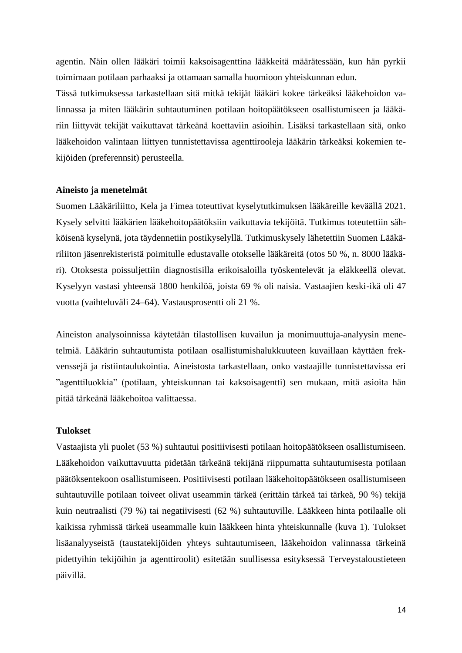agentin. Näin ollen lääkäri toimii kaksoisagenttina lääkkeitä määrätessään, kun hän pyrkii toimimaan potilaan parhaaksi ja ottamaan samalla huomioon yhteiskunnan edun.

Tässä tutkimuksessa tarkastellaan sitä mitkä tekijät lääkäri kokee tärkeäksi lääkehoidon valinnassa ja miten lääkärin suhtautuminen potilaan hoitopäätökseen osallistumiseen ja lääkäriin liittyvät tekijät vaikuttavat tärkeänä koettaviin asioihin. Lisäksi tarkastellaan sitä, onko lääkehoidon valintaan liittyen tunnistettavissa agenttirooleja lääkärin tärkeäksi kokemien tekijöiden (preferennsit) perusteella.

### **Aineisto ja menetelmät**

Suomen Lääkäriliitto, Kela ja Fimea toteuttivat kyselytutkimuksen lääkäreille keväällä 2021. Kysely selvitti lääkärien lääkehoitopäätöksiin vaikuttavia tekijöitä. Tutkimus toteutettiin sähköisenä kyselynä, jota täydennetiin postikyselyllä. Tutkimuskysely lähetettiin Suomen Lääkäriliiton jäsenrekisteristä poimitulle edustavalle otokselle lääkäreitä (otos 50 %, n. 8000 lääkäri). Otoksesta poissuljettiin diagnostisilla erikoisaloilla työskentelevät ja eläkkeellä olevat. Kyselyyn vastasi yhteensä 1800 henkilöä, joista 69 % oli naisia. Vastaajien keski-ikä oli 47 vuotta (vaihteluväli 24–64). Vastausprosentti oli 21 %.

Aineiston analysoinnissa käytetään tilastollisen kuvailun ja monimuuttuja-analyysin menetelmiä. Lääkärin suhtautumista potilaan osallistumishalukkuuteen kuvaillaan käyttäen frekvenssejä ja ristiintaulukointia. Aineistosta tarkastellaan, onko vastaajille tunnistettavissa eri "agenttiluokkia" (potilaan, yhteiskunnan tai kaksoisagentti) sen mukaan, mitä asioita hän pitää tärkeänä lääkehoitoa valittaessa.

### **Tulokset**

Vastaajista yli puolet (53 %) suhtautui positiivisesti potilaan hoitopäätökseen osallistumiseen. Lääkehoidon vaikuttavuutta pidetään tärkeänä tekijänä riippumatta suhtautumisesta potilaan päätöksentekoon osallistumiseen. Positiivisesti potilaan lääkehoitopäätökseen osallistumiseen suhtautuville potilaan toiveet olivat useammin tärkeä (erittäin tärkeä tai tärkeä, 90 %) tekijä kuin neutraalisti (79 %) tai negatiivisesti (62 %) suhtautuville. Lääkkeen hinta potilaalle oli kaikissa ryhmissä tärkeä useammalle kuin lääkkeen hinta yhteiskunnalle (kuva 1). Tulokset lisäanalyyseistä (taustatekijöiden yhteys suhtautumiseen, lääkehoidon valinnassa tärkeinä pidettyihin tekijöihin ja agenttiroolit) esitetään suullisessa esityksessä Terveystaloustieteen päivillä.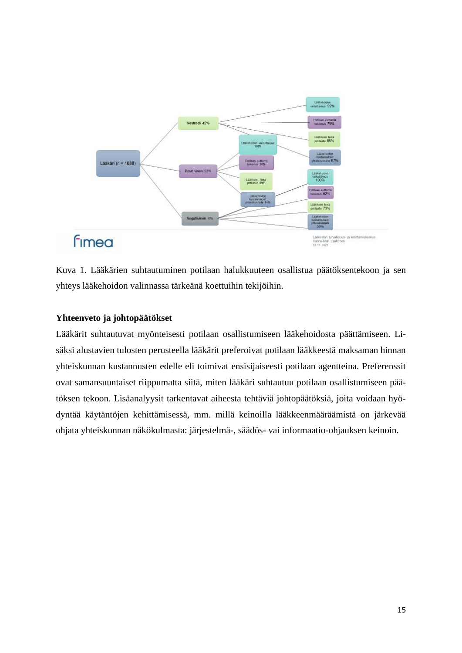

Kuva 1. Lääkärien suhtautuminen potilaan halukkuuteen osallistua päätöksentekoon ja sen yhteys lääkehoidon valinnassa tärkeänä koettuihin tekijöihin.

### **Yhteenveto ja johtopäätökset**

Lääkärit suhtautuvat myönteisesti potilaan osallistumiseen lääkehoidosta päättämiseen. Lisäksi alustavien tulosten perusteella lääkärit preferoivat potilaan lääkkeestä maksaman hinnan yhteiskunnan kustannusten edelle eli toimivat ensisijaiseesti potilaan agentteina. Preferenssit ovat samansuuntaiset riippumatta siitä, miten lääkäri suhtautuu potilaan osallistumiseen päätöksen tekoon. Lisäanalyysit tarkentavat aiheesta tehtäviä johtopäätöksiä, joita voidaan hyödyntää käytäntöjen kehittämisessä, mm. millä keinoilla lääkkeenmääräämistä on järkevää ohjata yhteiskunnan näkökulmasta: järjestelmä-, säädös- vai informaatio-ohjauksen keinoin.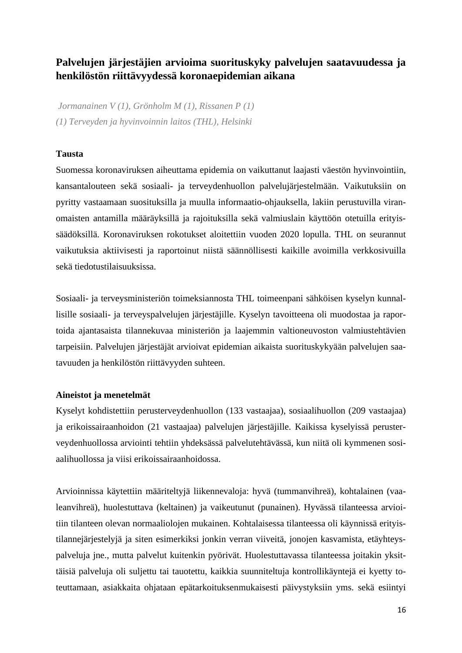### <span id="page-19-0"></span>**Palvelujen järjestäjien arvioima suorituskyky palvelujen saatavuudessa ja henkilöstön riittävyydessä koronaepidemian aikana**

*Jormanainen V (1), Grönholm M (1), Rissanen P (1) (1) Terveyden ja hyvinvoinnin laitos (THL), Helsinki*

### **Tausta**

Suomessa koronaviruksen aiheuttama epidemia on vaikuttanut laajasti väestön hyvinvointiin, kansantalouteen sekä sosiaali- ja terveydenhuollon palvelujärjestelmään. Vaikutuksiin on pyritty vastaamaan suosituksilla ja muulla informaatio-ohjauksella, lakiin perustuvilla viranomaisten antamilla määräyksillä ja rajoituksilla sekä valmiuslain käyttöön otetuilla erityissäädöksillä. Koronaviruksen rokotukset aloitettiin vuoden 2020 lopulla. THL on seurannut vaikutuksia aktiivisesti ja raportoinut niistä säännöllisesti kaikille avoimilla verkkosivuilla sekä tiedotustilaisuuksissa.

Sosiaali- ja terveysministeriön toimeksiannosta THL toimeenpani sähköisen kyselyn kunnallisille sosiaali- ja terveyspalvelujen järjestäjille. Kyselyn tavoitteena oli muodostaa ja raportoida ajantasaista tilannekuvaa ministeriön ja laajemmin valtioneuvoston valmiustehtävien tarpeisiin. Palvelujen järjestäjät arvioivat epidemian aikaista suorituskykyään palvelujen saatavuuden ja henkilöstön riittävyyden suhteen.

### **Aineistot ja menetelmät**

Kyselyt kohdistettiin perusterveydenhuollon (133 vastaajaa), sosiaalihuollon (209 vastaajaa) ja erikoissairaanhoidon (21 vastaajaa) palvelujen järjestäjille. Kaikissa kyselyissä perusterveydenhuollossa arviointi tehtiin yhdeksässä palvelutehtävässä, kun niitä oli kymmenen sosiaalihuollossa ja viisi erikoissairaanhoidossa.

Arvioinnissa käytettiin määriteltyjä liikennevaloja: hyvä (tummanvihreä), kohtalainen (vaaleanvihreä), huolestuttava (keltainen) ja vaikeutunut (punainen). Hyvässä tilanteessa arvioitiin tilanteen olevan normaaliolojen mukainen. Kohtalaisessa tilanteessa oli käynnissä erityistilannejärjestelyjä ja siten esimerkiksi jonkin verran viiveitä, jonojen kasvamista, etäyhteyspalveluja jne., mutta palvelut kuitenkin pyörivät. Huolestuttavassa tilanteessa joitakin yksittäisiä palveluja oli suljettu tai tauotettu, kaikkia suunniteltuja kontrollikäyntejä ei kyetty toteuttamaan, asiakkaita ohjataan epätarkoituksenmukaisesti päivystyksiin yms. sekä esiintyi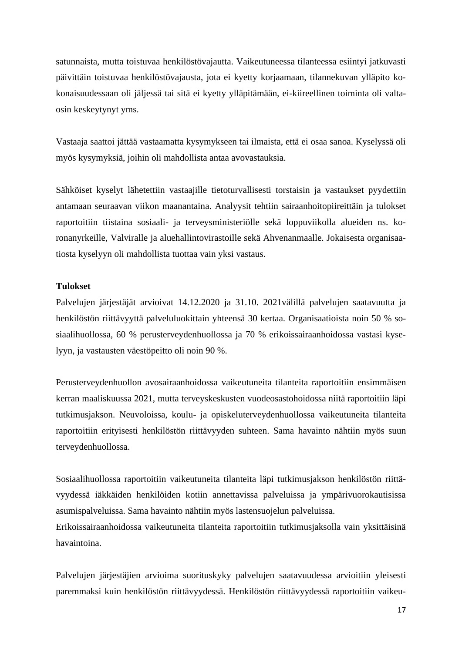satunnaista, mutta toistuvaa henkilöstövajautta. Vaikeutuneessa tilanteessa esiintyi jatkuvasti päivittäin toistuvaa henkilöstövajausta, jota ei kyetty korjaamaan, tilannekuvan ylläpito kokonaisuudessaan oli jäljessä tai sitä ei kyetty ylläpitämään, ei-kiireellinen toiminta oli valtaosin keskeytynyt yms.

Vastaaja saattoi jättää vastaamatta kysymykseen tai ilmaista, että ei osaa sanoa. Kyselyssä oli myös kysymyksiä, joihin oli mahdollista antaa avovastauksia.

Sähköiset kyselyt lähetettiin vastaajille tietoturvallisesti torstaisin ja vastaukset pyydettiin antamaan seuraavan viikon maanantaina. Analyysit tehtiin sairaanhoitopiireittäin ja tulokset raportoitiin tiistaina sosiaali- ja terveysministeriölle sekä loppuviikolla alueiden ns. koronanyrkeille, Valviralle ja aluehallintovirastoille sekä Ahvenanmaalle. Jokaisesta organisaatiosta kyselyyn oli mahdollista tuottaa vain yksi vastaus.

### **Tulokset**

Palvelujen järjestäjät arvioivat 14.12.2020 ja 31.10. 2021välillä palvelujen saatavuutta ja henkilöstön riittävyyttä palveluluokittain yhteensä 30 kertaa. Organisaatioista noin 50 % sosiaalihuollossa, 60 % perusterveydenhuollossa ja 70 % erikoissairaanhoidossa vastasi kyselyyn, ja vastausten väestöpeitto oli noin 90 %.

Perusterveydenhuollon avosairaanhoidossa vaikeutuneita tilanteita raportoitiin ensimmäisen kerran maaliskuussa 2021, mutta terveyskeskusten vuodeosastohoidossa niitä raportoitiin läpi tutkimusjakson. Neuvoloissa, koulu- ja opiskeluterveydenhuollossa vaikeutuneita tilanteita raportoitiin erityisesti henkilöstön riittävyyden suhteen. Sama havainto nähtiin myös suun terveydenhuollossa.

Sosiaalihuollossa raportoitiin vaikeutuneita tilanteita läpi tutkimusjakson henkilöstön riittävyydessä iäkkäiden henkilöiden kotiin annettavissa palveluissa ja ympärivuorokautisissa asumispalveluissa. Sama havainto nähtiin myös lastensuojelun palveluissa.

Erikoissairaanhoidossa vaikeutuneita tilanteita raportoitiin tutkimusjaksolla vain yksittäisinä havaintoina.

Palvelujen järjestäjien arvioima suorituskyky palvelujen saatavuudessa arvioitiin yleisesti paremmaksi kuin henkilöstön riittävyydessä. Henkilöstön riittävyydessä raportoitiin vaikeu